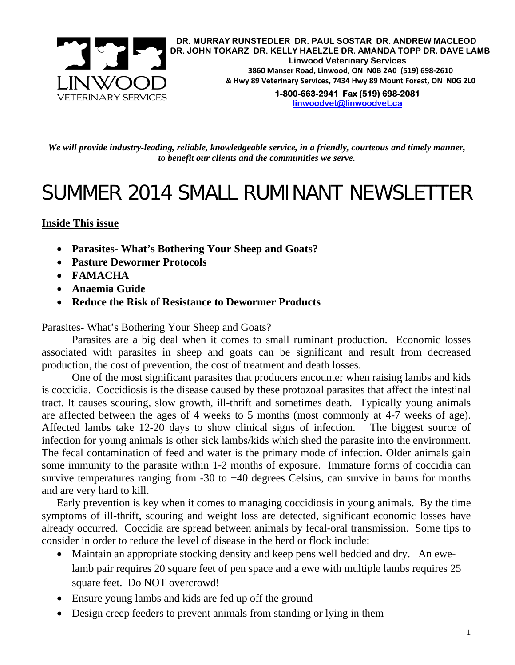

*We will provide industry-leading, reliable, knowledgeable service, in a friendly, courteous and timely manner, to benefit our clients and the communities we serve.* 

# SUMMER 2014 SMALL RUMINANT NEWSLETTER

## **Inside This issue**

- **Parasites- What's Bothering Your Sheep and Goats?**
- **Pasture Dewormer Protocols**
- **FAMACHA**
- **Anaemia Guide**
- **Reduce the Risk of Resistance to Dewormer Products**

#### Parasites- What's Bothering Your Sheep and Goats?

Parasites are a big deal when it comes to small ruminant production. Economic losses associated with parasites in sheep and goats can be significant and result from decreased production, the cost of prevention, the cost of treatment and death losses.

One of the most significant parasites that producers encounter when raising lambs and kids is coccidia. Coccidiosis is the disease caused by these protozoal parasites that affect the intestinal tract. It causes scouring, slow growth, ill-thrift and sometimes death. Typically young animals are affected between the ages of 4 weeks to 5 months (most commonly at 4-7 weeks of age). Affected lambs take 12-20 days to show clinical signs of infection. The biggest source of infection for young animals is other sick lambs/kids which shed the parasite into the environment. The fecal contamination of feed and water is the primary mode of infection. Older animals gain some immunity to the parasite within 1-2 months of exposure. Immature forms of coccidia can survive temperatures ranging from -30 to +40 degrees Celsius, can survive in barns for months and are very hard to kill.

Early prevention is key when it comes to managing coccidiosis in young animals. By the time symptoms of ill-thrift, scouring and weight loss are detected, significant economic losses have already occurred. Coccidia are spread between animals by fecal-oral transmission. Some tips to consider in order to reduce the level of disease in the herd or flock include:

- Maintain an appropriate stocking density and keep pens well bedded and dry. An ewelamb pair requires 20 square feet of pen space and a ewe with multiple lambs requires 25 square feet. Do NOT overcrowd!
- Ensure young lambs and kids are fed up off the ground
- Design creep feeders to prevent animals from standing or lying in them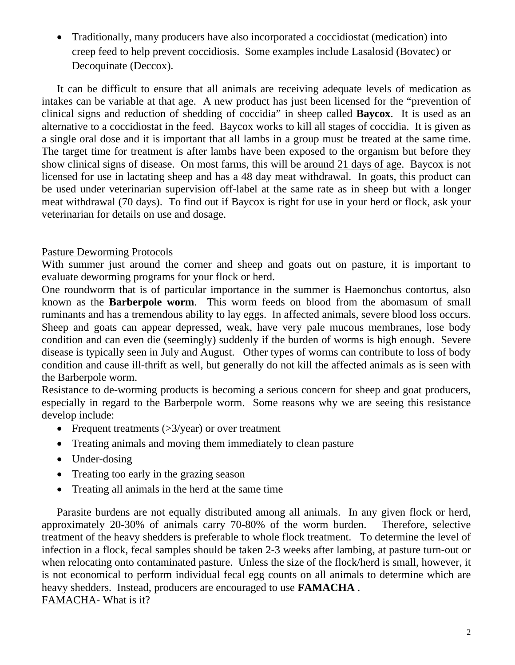Traditionally, many producers have also incorporated a coccidiostat (medication) into creep feed to help prevent coccidiosis. Some examples include Lasalosid (Bovatec) or Decoquinate (Deccox).

It can be difficult to ensure that all animals are receiving adequate levels of medication as intakes can be variable at that age. A new product has just been licensed for the "prevention of clinical signs and reduction of shedding of coccidia" in sheep called **Baycox**. It is used as an alternative to a coccidiostat in the feed. Baycox works to kill all stages of coccidia. It is given as a single oral dose and it is important that all lambs in a group must be treated at the same time. The target time for treatment is after lambs have been exposed to the organism but before they show clinical signs of disease. On most farms, this will be around 21 days of age. Baycox is not licensed for use in lactating sheep and has a 48 day meat withdrawal. In goats, this product can be used under veterinarian supervision off-label at the same rate as in sheep but with a longer meat withdrawal (70 days). To find out if Baycox is right for use in your herd or flock, ask your veterinarian for details on use and dosage.

## Pasture Deworming Protocols

With summer just around the corner and sheep and goats out on pasture, it is important to evaluate deworming programs for your flock or herd.

One roundworm that is of particular importance in the summer is Haemonchus contortus, also known as the **Barberpole worm**. This worm feeds on blood from the abomasum of small ruminants and has a tremendous ability to lay eggs. In affected animals, severe blood loss occurs. Sheep and goats can appear depressed, weak, have very pale mucous membranes, lose body condition and can even die (seemingly) suddenly if the burden of worms is high enough. Severe disease is typically seen in July and August. Other types of worms can contribute to loss of body condition and cause ill-thrift as well, but generally do not kill the affected animals as is seen with the Barberpole worm.

Resistance to de-worming products is becoming a serious concern for sheep and goat producers, especially in regard to the Barberpole worm. Some reasons why we are seeing this resistance develop include:

- Frequent treatments  $(>\frac{3}{year})$  or over treatment
- Treating animals and moving them immediately to clean pasture
- Under-dosing
- Treating too early in the grazing season
- Treating all animals in the herd at the same time

Parasite burdens are not equally distributed among all animals. In any given flock or herd, approximately 20-30% of animals carry 70-80% of the worm burden. Therefore, selective treatment of the heavy shedders is preferable to whole flock treatment. To determine the level of infection in a flock, fecal samples should be taken 2-3 weeks after lambing, at pasture turn-out or when relocating onto contaminated pasture. Unless the size of the flock/herd is small, however, it is not economical to perform individual fecal egg counts on all animals to determine which are heavy shedders. Instead, producers are encouraged to use **FAMACHA** . FAMACHA- What is it?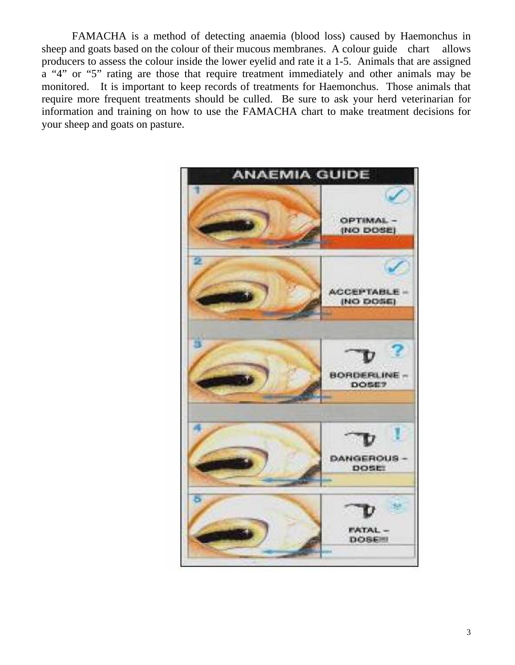FAMACHA is a method of detecting anaemia (blood loss) caused by Haemonchus in sheep and goats based on the colour of their mucous membranes. A colour guide chart allows producers to assess the colour inside the lower eyelid and rate it a 1-5. Animals that are assigned a "4" or "5" rating are those that require treatment immediately and other animals may be monitored. It is important to keep records of treatments for Haemonchus. Those animals that require more frequent treatments should be culled. Be sure to ask your herd veterinarian for information and training on how to use the FAMACHA chart to make treatment decisions for your sheep and goats on pasture.